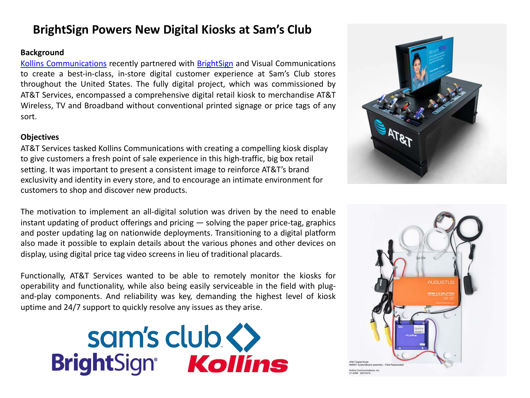# **BrightSign Powers New Digital Kiosks at Sam's Club**

## **Background**

Kollins [Communications](https://kollins.com/) recently partnered with [BrightSign](http://www.brightsign.biz/) and Visual Communications to create a best-in-class, in-store digital customer experience at Sam's Club stores throughout the United States. The fully digital project, which was commissioned by AT&T Services, encompassed a comprehensive digital retail kiosk to merchandise AT&T Wireless, TV and Broadband without conventional printed signage or price tags of any sort.

# **Objectives**

AT&T Services tasked Kollins Communications with creating a compelling kiosk display to give customers a fresh point of sale experience in this high-traffic, big box retail setting. It was important to present a consistent image to reinforce AT&T's brand exclusivity and identity in every store, and to encourage an intimate environment for customers to shop and discover new products.

The motivation to implement an all-digital solution was driven by the need to enable instant updating of product offerings and pricing  $-$  solving the paper price-tag, graphics and poster updating lag on nationwide deployments. Transitioning to a digital platform also made it possible to explain details about the various phones and other devices on display, using digital price tag video screens in lieu of traditional placards.

Functionally, AT&T Services wanted to be able to remotely monitor the kiosks for operability and functionality, while also being easily serviceable in the field with plugand-play components. And reliability was key, demanding the highest level of kiosk uptime and 24/7 support to quickly resolve any issues as they arise.